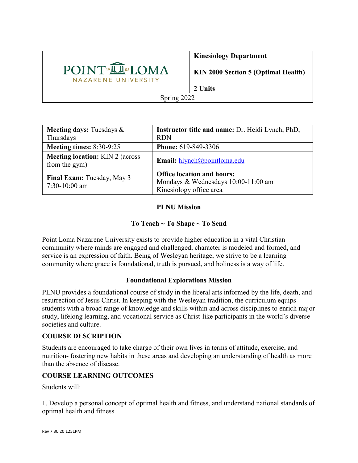

## **Kinesiology Department**

**KIN 2000 Section 5 (Optimal Health)**

**2 Units**

Spring 2022

| <b>Meeting days:</b> Tuesdays $\&$<br>Thursdays          | <b>Instructor title and name: Dr. Heidi Lynch, PhD,</b><br><b>RDN</b>                               |
|----------------------------------------------------------|-----------------------------------------------------------------------------------------------------|
| Meeting times: $8:30-9:25$                               | <b>Phone: 619-849-3306</b>                                                                          |
| <b>Meeting location:</b> KIN 2 (across)<br>from the gym) | Email: $hlynch@pointloma.edu$                                                                       |
| Final Exam: Tuesday, May 3<br>$7:30-10:00$ am            | <b>Office location and hours:</b><br>Mondays & Wednesdays 10:00-11:00 am<br>Kinesiology office area |

# **PLNU Mission**

# **To Teach ~ To Shape ~ To Send**

Point Loma Nazarene University exists to provide higher education in a vital Christian community where minds are engaged and challenged, character is modeled and formed, and service is an expression of faith. Being of Wesleyan heritage, we strive to be a learning community where grace is foundational, truth is pursued, and holiness is a way of life.

### **Foundational Explorations Mission**

PLNU provides a foundational course of study in the liberal arts informed by the life, death, and resurrection of Jesus Christ. In keeping with the Wesleyan tradition, the curriculum equips students with a broad range of knowledge and skills within and across disciplines to enrich major study, lifelong learning, and vocational service as Christ-like participants in the world's diverse societies and culture.

### **COURSE DESCRIPTION**

Students are encouraged to take charge of their own lives in terms of attitude, exercise, and nutrition- fostering new habits in these areas and developing an understanding of health as more than the absence of disease.

## **COURSE LEARNING OUTCOMES**

Students will:

1. Develop a personal concept of optimal health and fitness, and understand national standards of optimal health and fitness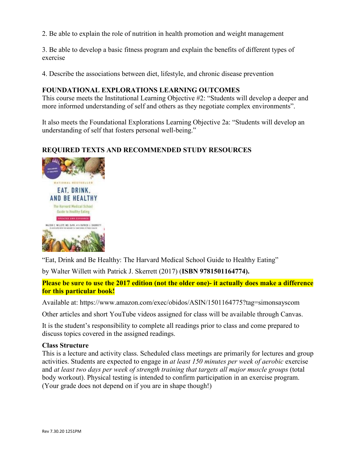2. Be able to explain the role of nutrition in health promotion and weight management

3. Be able to develop a basic fitness program and explain the benefits of different types of exercise

4. Describe the associations between diet, lifestyle, and chronic disease prevention

**FOUNDATIONAL EXPLORATIONS LEARNING OUTCOMES**<br>This course meets the Institutional Learning Objective #2: "Students will develop a deeper and more informed understanding of self and others as they negotiate complex environments".

It also meets the Foundational Explorations Learning Objective 2a: "Students will develop an understanding of self that fosters personal well-being."

### **REQUIRED TEXTS AND RECOMMENDED STUDY RESOURCES**



"Eat, Drink and Be Healthy: The Harvard Medical School Guide to Healthy Eating"

by Walter Willett with Patrick J. Skerrett (2017) (**ISBN 9781501164774).**

**Please be sure to use the 2017 edition (not the older one)- it actually does make a difference for this particular book!**

Available at: https://www.amazon.com/exec/obidos/ASIN/1501164775?tag=simonsayscom

Other articles and short YouTube videos assigned for class will be available through Canvas.

It is the student's responsibility to complete all readings prior to class and come prepared to discuss topics covered in the assigned readings.

### **Class Structure**

This is a lecture and activity class. Scheduled class meetings are primarily for lectures and group activities. Students are expected to engage in *at least 150 minutes per week of aerobic* exercise and *at least two days per week of strength training that targets all major muscle groups* (total body workout). Physical testing is intended to confirm participation in an exercise program. (Your grade does not depend on if you are in shape though!)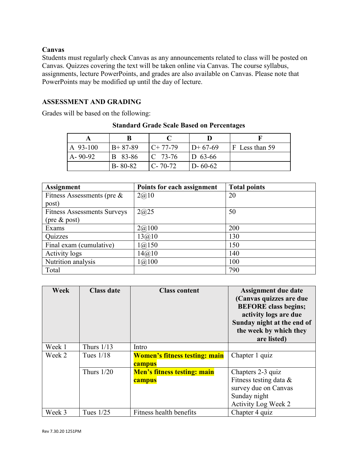## **Canvas**

Students must regularly check Canvas as any announcements related to class will be posted on Canvas. Quizzes covering the text will be taken online via Canvas. The course syllabus, assignments, lecture PowerPoints, and grades are also available on Canvas. Please note that PowerPoints may be modified up until the day of lecture.

## **ASSESSMENT AND GRADING**

Grades will be based on the following:

| $\overline{A}$ 93-100 | $B+87-89$      | $C+77-79$          | $ID+67-69$    | $ F $ Less than 59 |
|-----------------------|----------------|--------------------|---------------|--------------------|
| $A - 90 - 92$         | <b>B</b> 83-86 | $\mathbb{C}$ 73-76 | $D_{63-66}$   |                    |
|                       | $B - 80 - 82$  | $C - 70 - 72$      | $D - 60 - 62$ |                    |

#### **Standard Grade Scale Based on Percentages**

| <b>Assignment</b>                  | Points for each assignment | <b>Total points</b> |
|------------------------------------|----------------------------|---------------------|
| Fitness Assessments (pre $\&$      | 2@10                       | 20                  |
| post)                              |                            |                     |
| <b>Fitness Assessments Surveys</b> | 2@25                       | 50                  |
| $(\text{pre} \& \text{post})$      |                            |                     |
| Exams                              | 2(a)100                    | 200                 |
| Quizzes                            | 13@10                      | 130                 |
| Final exam (cumulative)            | 1(a)150                    | 150                 |
| <b>Activity logs</b>               | 14@10                      | 140                 |
| Nutrition analysis                 | 1(a)100                    | 100                 |
| Total                              |                            | 790                 |

| Week   | <b>Class date</b> | <b>Class content</b>                           | Assignment due date<br>(Canvas quizzes are due<br><b>BEFORE</b> class begins;<br>activity logs are due<br>Sunday night at the end of<br>the week by which they<br>are listed) |
|--------|-------------------|------------------------------------------------|-------------------------------------------------------------------------------------------------------------------------------------------------------------------------------|
| Week 1 | Thurs $1/13$      | Intro                                          |                                                                                                                                                                               |
| Week 2 | Tues $1/18$       | <b>Women's fitness testing: main</b><br>campus | Chapter 1 quiz                                                                                                                                                                |
|        | Thurs $1/20$      | <b>Men's fitness testing: main</b>             | Chapters 2-3 quiz                                                                                                                                                             |
|        |                   | campus                                         | Fitness testing data &                                                                                                                                                        |
|        |                   |                                                | survey due on Canvas                                                                                                                                                          |
|        |                   |                                                | Sunday night                                                                                                                                                                  |
|        |                   |                                                | Activity Log Week 2                                                                                                                                                           |
| Week 3 | Tues $1/25$       | Fitness health benefits                        | Chapter 4 quiz                                                                                                                                                                |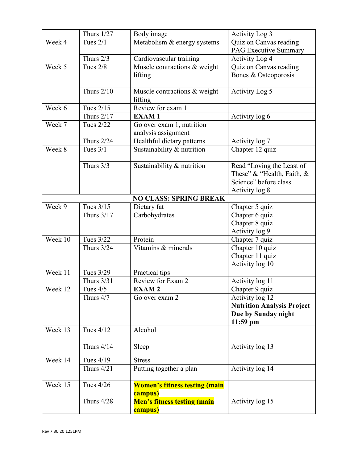|         | Thurs $1/27$      | Body image                                      | Activity Log 3                    |
|---------|-------------------|-------------------------------------------------|-----------------------------------|
| Week 4  | Tues $2/1$        | Metabolism & energy systems                     | Quiz on Canvas reading            |
|         |                   |                                                 | <b>PAG Executive Summary</b>      |
|         | Thurs $2/3$       | Cardiovascular training                         | Activity Log 4                    |
| Week 5  | Tues $2/8$        | Muscle contractions & weight                    | Quiz on Canvas reading            |
|         |                   | lifting                                         | Bones & Osteoporosis              |
|         |                   |                                                 |                                   |
|         | Thurs $2/10$      | Muscle contractions & weight                    | Activity Log 5                    |
|         |                   | lifting                                         |                                   |
| Week 6  | Tues $2/15$       | Review for exam 1                               |                                   |
|         | <b>Thurs 2/17</b> | <b>EXAM1</b>                                    | Activity log 6                    |
| Week 7  | Tues 2/22         | Go over exam 1, nutrition                       |                                   |
|         |                   | analysis assignment                             |                                   |
|         | <b>Thurs 2/24</b> | Healthful dietary patterns                      | Activity log 7                    |
| Week 8  | Tues $3/1$        | Sustainability & nutrition                      | Chapter 12 quiz                   |
|         | Thurs $3/3$       | Sustainability & nutrition                      | Read "Loving the Least of         |
|         |                   |                                                 | These" & "Health, Faith, &        |
|         |                   |                                                 | Science" before class             |
|         |                   |                                                 | Activity log 8                    |
|         |                   | <b>NO CLASS: SPRING BREAK</b>                   |                                   |
| Week 9  | Tues $3/15$       | Dietary fat                                     | Chapter 5 quiz                    |
|         | Thurs 3/17        | Carbohydrates                                   | Chapter 6 quiz                    |
|         |                   |                                                 | Chapter 8 quiz                    |
|         |                   |                                                 | Activity log 9                    |
| Week 10 | Tues 3/22         | Protein                                         | Chapter 7 quiz                    |
|         | Thurs $3/24$      | Vitamins & minerals                             | Chapter 10 quiz                   |
|         |                   |                                                 | Chapter 11 quiz                   |
|         |                   |                                                 | Activity log 10                   |
| Week 11 | Tues 3/29         | Practical tips                                  |                                   |
|         | <b>Thurs 3/31</b> | Review for Exam 2                               | Activity log 11                   |
| Week 12 | Tues $4/5$        | <b>EXAM2</b>                                    | Chapter 9 quiz                    |
|         | Thurs 4/7         | Go over exam 2                                  | Activity log 12                   |
|         |                   |                                                 | <b>Nutrition Analysis Project</b> |
|         |                   |                                                 | Due by Sunday night               |
|         |                   |                                                 | $11:59$ pm                        |
| Week 13 | Tues $4/12$       | Alcohol                                         |                                   |
|         | Thurs $4/14$      | Sleep                                           | Activity log 13                   |
| Week 14 | Tues 4/19         | <b>Stress</b>                                   |                                   |
|         | Thurs 4/21        | Putting together a plan                         | Activity log 14                   |
|         |                   |                                                 |                                   |
| Week 15 | Tues $4/26$       | <b>Women's fitness testing (main</b><br>campus) |                                   |
|         | Thurs 4/28        | <b>Men's fitness testing (main</b>              | Activity log 15                   |
|         |                   | campus)                                         |                                   |
|         |                   |                                                 |                                   |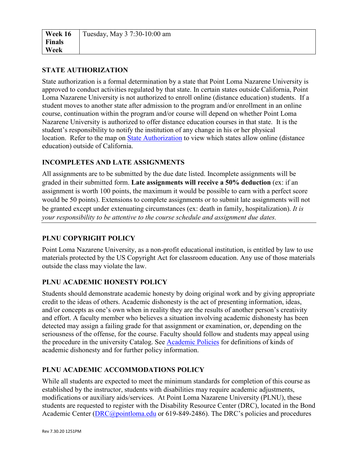## **STATE AUTHORIZATION**

State authorization is a formal determination by a state that Point Loma Nazarene University is approved to conduct activities regulated by that state. In certain states outside California, Point Loma Nazarene University is not authorized to enroll online (distance education) students. If a student moves to another state after admission to the program and/or enrollment in an online course, continuation within the program and/or course will depend on whether Point Loma Nazarene University is authorized to offer distance education courses in that state. It is the student's responsibility to notify the institution of any change in his or her physical location. Refer to the map on [State Authorization](https://www.pointloma.edu/offices/office-institutional-effectiveness-research/disclosures) to view which states allow online (distance education) outside of California.

# **INCOMPLETES AND LATE ASSIGNMENTS**

All assignments are to be submitted by the due date listed. Incomplete assignments will be graded in their submitted form. **Late assignments will receive a 50% deduction** (ex: if an assignment is worth 100 points, the maximum it would be possible to earn with a perfect score would be 50 points). Extensions to complete assignments or to submit late assignments will not be granted except under extenuating circumstances (ex: death in family, hospitalization). *It is your responsibility to be attentive to the course schedule and assignment due dates.*

# **PLNU COPYRIGHT POLICY**

Point Loma Nazarene University, as a non-profit educational institution, is entitled by law to use materials protected by the US Copyright Act for classroom education. Any use of those materials outside the class may violate the law.

# **PLNU ACADEMIC HONESTY POLICY**

Students should demonstrate academic honesty by doing original work and by giving appropriate credit to the ideas of others. Academic dishonesty is the act of presenting information, ideas, and/or concepts as one's own when in reality they are the results of another person's creativity and effort. A faculty member who believes a situation involving academic dishonesty has been detected may assign a failing grade for that assignment or examination, or, depending on the seriousness of the offense, for the course. Faculty should follow and students may appeal using the procedure in the university Catalog. See [Academic Policies](https://catalog.pointloma.edu/content.php?catoid=41&navoid=2435#Academic_Honesty) for definitions of kinds of academic dishonesty and for further policy information.

# **PLNU ACADEMIC ACCOMMODATIONS POLICY**

While all students are expected to meet the minimum standards for completion of this course as established by the instructor, students with disabilities may require academic adjustments, modifications or auxiliary aids/services. At Point Loma Nazarene University (PLNU), these students are requested to register with the Disability Resource Center (DRC), located in the Bond Academic Center [\(DRC@pointloma.edu](mailto:DRC@pointloma.edu) or 619-849-2486). The DRC's policies and procedures